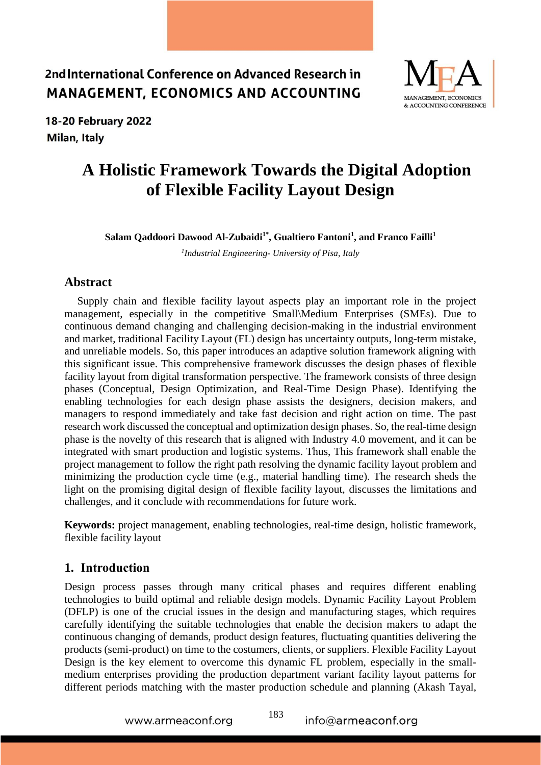

18-20 February 2022 Milan, Italy

# **A Holistic Framework Towards the Digital Adoption of Flexible Facility Layout Design**

**Salam Qaddoori Dawood Al-Zubaidi1\* , Gualtiero Fantoni<sup>1</sup> , and Franco Failli<sup>1</sup>**

*1 Industrial Engineering- University of Pisa, Italy*

#### **Abstract**

Supply chain and flexible facility layout aspects play an important role in the project management, especially in the competitive Small\Medium Enterprises (SMEs). Due to continuous demand changing and challenging decision-making in the industrial environment and market, traditional Facility Layout (FL) design has uncertainty outputs, long-term mistake, and unreliable models. So, this paper introduces an adaptive solution framework aligning with this significant issue. This comprehensive framework discusses the design phases of flexible facility layout from digital transformation perspective. The framework consists of three design phases (Conceptual, Design Optimization, and Real-Time Design Phase). Identifying the enabling technologies for each design phase assists the designers, decision makers, and managers to respond immediately and take fast decision and right action on time. The past research work discussed the conceptual and optimization design phases. So, the real-time design phase is the novelty of this research that is aligned with Industry 4.0 movement, and it can be integrated with smart production and logistic systems. Thus, This framework shall enable the project management to follow the right path resolving the dynamic facility layout problem and minimizing the production cycle time (e.g., material handling time). The research sheds the light on the promising digital design of flexible facility layout, discusses the limitations and challenges, and it conclude with recommendations for future work.

**Keywords:** project management, enabling technologies, real-time design, holistic framework, flexible facility layout

#### **1. Introduction**

Design process passes through many critical phases and requires different enabling technologies to build optimal and reliable design models. Dynamic Facility Layout Problem (DFLP) is one of the crucial issues in the design and manufacturing stages, which requires carefully identifying the suitable technologies that enable the decision makers to adapt the continuous changing of demands, product design features, fluctuating quantities delivering the products (semi-product) on time to the costumers, clients, or suppliers. Flexible Facility Layout Design is the key element to overcome this dynamic FL problem, especially in the smallmedium enterprises providing the production department variant facility layout patterns for different periods matching with the master production schedule and planning (Akash Tayal,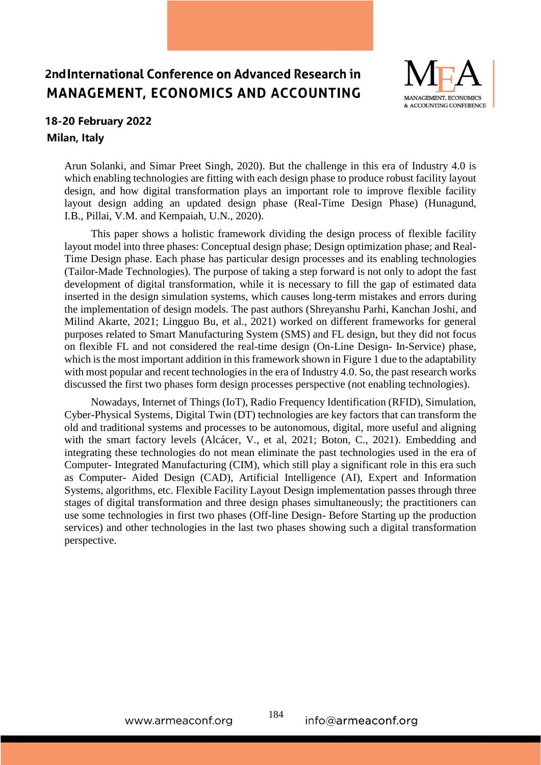

## 18-20 February 2022 Milan, Italy

Arun Solanki, and Simar Preet Singh, 2020). But the challenge in this era of Industry 4.0 is which enabling technologies are fitting with each design phase to produce robust facility layout design, and how digital transformation plays an important role to improve flexible facility layout design adding an updated design phase (Real-Time Design Phase) [\(Hunagund,](https://www.emerald.com/insight/search?q=Irappa%20Basappa%20Hunagund)  [I.B.,](https://www.emerald.com/insight/search?q=Irappa%20Basappa%20Hunagund) [Pillai, V.M.](https://www.emerald.com/insight/search?q=V.%20Madhusudanan%20Pillai) and [Kempaiah, U.N.,](https://www.emerald.com/insight/search?q=Ujjani%20Nagegowda%20Kempaiah) 2020).

 This paper shows a holistic framework dividing the design process of flexible facility layout model into three phases: Conceptual design phase; Design optimization phase; and Real-Time Design phase. Each phase has particular design processes and its enabling technologies (Tailor-Made Technologies). The purpose of taking a step forward is not only to adopt the fast development of digital transformation, while it is necessary to fill the gap of estimated data inserted in the design simulation systems, which causes long-term mistakes and errors during the implementation of design models. The past authors (Shreyanshu Parhi, Kanchan Joshi, and Milind Akarte, 2021; Lingguo Bu, et al., 2021) worked on different frameworks for general purposes related to Smart Manufacturing System (SMS) and FL design, but they did not focus on flexible FL and not considered the real-time design (On-Line Design- In-Service) phase, which is the most important addition in this framework shown in Figure 1 due to the adaptability with most popular and recent technologies in the era of Industry 4.0. So, the past research works discussed the first two phases form design processes perspective (not enabling technologies).

 Nowadays, Internet of Things (IoT), Radio Frequency Identification (RFID), Simulation, Cyber-Physical Systems, Digital Twin (DT) technologies are key factors that can transform the old and traditional systems and processes to be autonomous, digital, more useful and aligning with the smart factory levels (Alcácer, V., et al, 2021; Boton, C., 2021). Embedding and integrating these technologies do not mean eliminate the past technologies used in the era of Computer- Integrated Manufacturing (CIM), which still play a significant role in this era such as Computer- Aided Design (CAD), Artificial Intelligence (AI), Expert and Information Systems, algorithms, etc. Flexible Facility Layout Design implementation passes through three stages of digital transformation and three design phases simultaneously; the practitioners can use some technologies in first two phases (Off-line Design- Before Starting up the production services) and other technologies in the last two phases showing such a digital transformation perspective.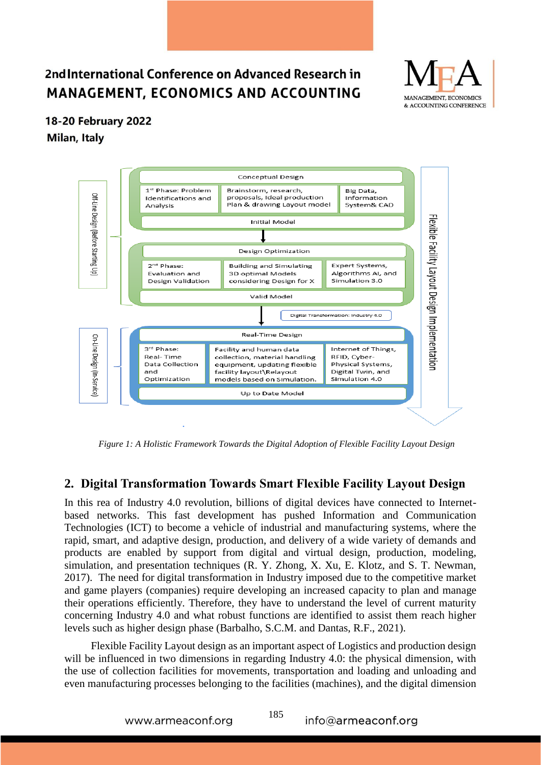

#### 18-20 February 2022

Milan, Italy



*Figure 1: A Holistic Framework Towards the Digital Adoption of Flexible Facility Layout Design*

### **2. Digital Transformation Towards Smart Flexible Facility Layout Design**

In this rea of Industry 4.0 revolution, billions of digital devices have connected to Internetbased networks. This fast development has pushed Information and Communication Technologies (ICT) to become a vehicle of industrial and manufacturing systems, where the rapid, smart, and adaptive design, production, and delivery of a wide variety of demands and products are enabled by support from digital and virtual design, production, modeling, simulation, and presentation techniques (R. Y. Zhong, X. Xu, E. Klotz, and S. T. Newman, 2017). The need for digital transformation in Industry imposed due to the competitive market and game players (companies) require developing an increased capacity to plan and manage their operations efficiently. Therefore, they have to understand the level of current maturity concerning Industry 4.0 and what robust functions are identified to assist them reach higher levels such as higher design phase (Barbalho, S.C.M. and Dantas, R.F., 2021).

 Flexible Facility Layout design as an important aspect of Logistics and production design will be influenced in two dimensions in regarding Industry 4.0: the physical dimension, with the use of collection facilities for movements, transportation and loading and unloading and even manufacturing processes belonging to the facilities (machines), and the digital dimension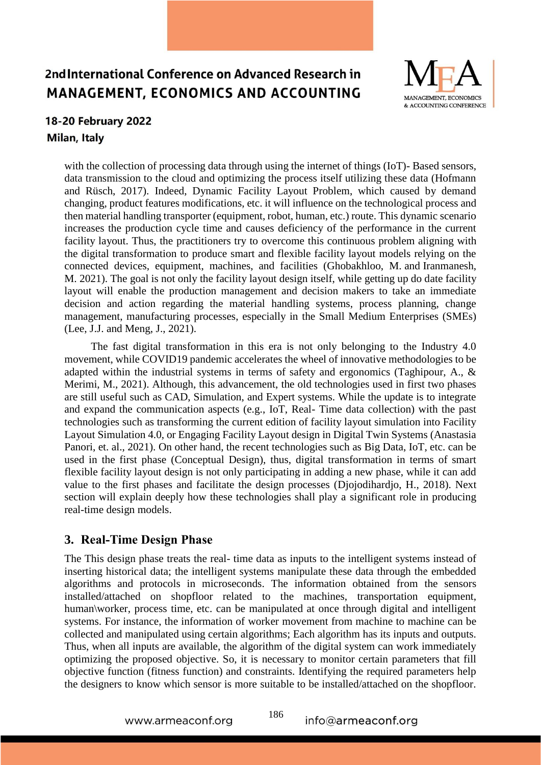

## 18-20 February 2022 Milan, Italy

with the collection of processing data through using the internet of things (IoT)- Based sensors, data transmission to the cloud and optimizing the process itself utilizing these data (Hofmann and Rüsch, 2017). Indeed, Dynamic Facility Layout Problem, which caused by demand changing, product features modifications, etc. it will influence on the technological process and then material handling transporter (equipment, robot, human, etc.) route. This dynamic scenario increases the production cycle time and causes deficiency of the performance in the current facility layout. Thus, the practitioners try to overcome this continuous problem aligning with the digital transformation to produce smart and flexible facility layout models relying on the connected devices, equipment, machines, and facilities [\(Ghobakhloo, M.](https://www.emerald.com/insight/search?q=Morteza%20Ghobakhloo) and [Iranmanesh,](https://www.emerald.com/insight/search?q=Mohammad%20Iranmanesh)  [M.](https://www.emerald.com/insight/search?q=Mohammad%20Iranmanesh) 2021). The goal is not only the facility layout design itself, while getting up do date facility layout will enable the production management and decision makers to take an immediate decision and action regarding the material handling systems, process planning, change management, manufacturing processes, especially in the Small Medium Enterprises (SMEs) [\(Lee, J.J.](https://www.emerald.com/insight/search?q=Jeonghyun%20Janice%20Lee) and [Meng, J.,](https://www.emerald.com/insight/search?q=Juan%20Meng) 2021).

 The fast digital transformation in this era is not only belonging to the Industry 4.0 movement, while COVID19 pandemic accelerates the wheel of innovative methodologies to be adapted within the industrial systems in terms of safety and ergonomics (Taghipour, A., & Merimi, M., 2021). Although, this advancement, the old technologies used in first two phases are still useful such as CAD, Simulation, and Expert systems. While the update is to integrate and expand the communication aspects (e.g., IoT, Real- Time data collection) with the past technologies such as transforming the current edition of facility layout simulation into Facility Layout Simulation 4.0, or Engaging Facility Layout design in Digital Twin Systems (Anastasia Panori, et. al., 2021). On other hand, the recent technologies such as Big Data, IoT, etc. can be used in the first phase (Conceptual Design), thus, digital transformation in terms of smart flexible facility layout design is not only participating in adding a new phase, while it can add value to the first phases and facilitate the design processes [\(Djojodihardjo, H.,](https://www.emerald.com/insight/search?q=Harijono%20Djojodihardjo) 2018). Next section will explain deeply how these technologies shall play a significant role in producing real-time design models.

### **3. Real-Time Design Phase**

The This design phase treats the real- time data as inputs to the intelligent systems instead of inserting historical data; the intelligent systems manipulate these data through the embedded algorithms and protocols in microseconds. The information obtained from the sensors installed/attached on shopfloor related to the machines, transportation equipment, human\worker, process time, etc. can be manipulated at once through digital and intelligent systems. For instance, the information of worker movement from machine to machine can be collected and manipulated using certain algorithms; Each algorithm has its inputs and outputs. Thus, when all inputs are available, the algorithm of the digital system can work immediately optimizing the proposed objective. So, it is necessary to monitor certain parameters that fill objective function (fitness function) and constraints. Identifying the required parameters help the designers to know which sensor is more suitable to be installed/attached on the shopfloor.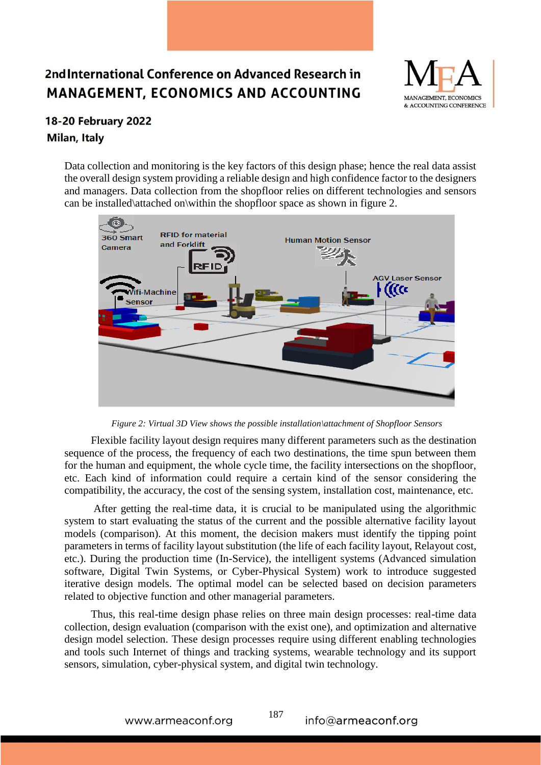

## 18-20 February 2022 Milan, Italy

Data collection and monitoring is the key factors of this design phase; hence the real data assist the overall design system providing a reliable design and high confidence factor to the designers and managers. Data collection from the shopfloor relies on different technologies and sensors can be installed\attached on\within the shopfloor space as shown in figure 2.



*Figure 2: Virtual 3D View shows the possible installation\attachment of Shopfloor Sensors*

 Flexible facility layout design requires many different parameters such as the destination sequence of the process, the frequency of each two destinations, the time spun between them for the human and equipment, the whole cycle time, the facility intersections on the shopfloor, etc. Each kind of information could require a certain kind of the sensor considering the compatibility, the accuracy, the cost of the sensing system, installation cost, maintenance, etc.

 After getting the real-time data, it is crucial to be manipulated using the algorithmic system to start evaluating the status of the current and the possible alternative facility layout models (comparison). At this moment, the decision makers must identify the tipping point parameters in terms of facility layout substitution (the life of each facility layout, Relayout cost, etc.). During the production time (In-Service), the intelligent systems (Advanced simulation software, Digital Twin Systems, or Cyber-Physical System) work to introduce suggested iterative design models. The optimal model can be selected based on decision parameters related to objective function and other managerial parameters.

 Thus, this real-time design phase relies on three main design processes: real-time data collection, design evaluation (comparison with the exist one), and optimization and alternative design model selection. These design processes require using different enabling technologies and tools such Internet of things and tracking systems, wearable technology and its support sensors, simulation, cyber-physical system, and digital twin technology.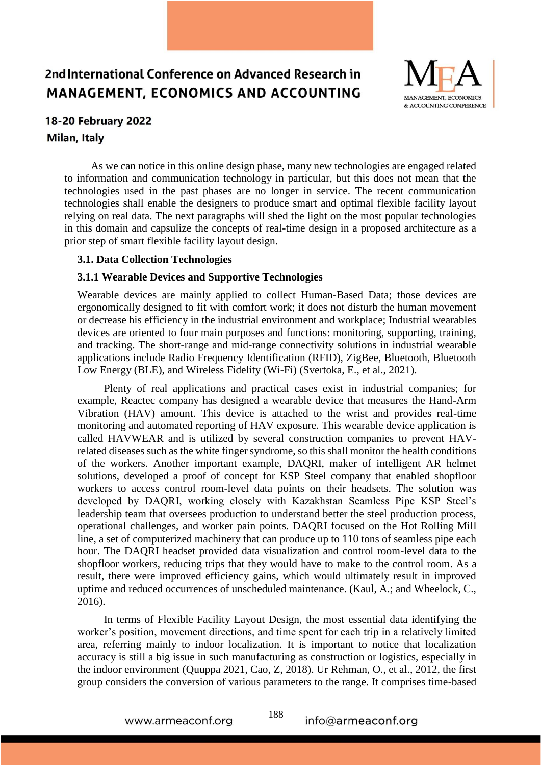

#### 18-20 February 2022 Milan, Italy

 As we can notice in this online design phase, many new technologies are engaged related to information and communication technology in particular, but this does not mean that the technologies used in the past phases are no longer in service. The recent communication technologies shall enable the designers to produce smart and optimal flexible facility layout relying on real data. The next paragraphs will shed the light on the most popular technologies in this domain and capsulize the concepts of real-time design in a proposed architecture as a prior step of smart flexible facility layout design.

#### **3.1. Data Collection Technologies**

#### **3.1.1 Wearable Devices and Supportive Technologies**

Wearable devices are mainly applied to collect Human-Based Data; those devices are ergonomically designed to fit with comfort work; it does not disturb the human movement or decrease his efficiency in the industrial environment and workplace; Industrial wearables devices are oriented to four main purposes and functions: monitoring, supporting, training, and tracking. The short-range and mid-range connectivity solutions in industrial wearable applications include Radio Frequency Identification (RFID), ZigBee, Bluetooth, Bluetooth Low Energy (BLE), and Wireless Fidelity (Wi-Fi) (Svertoka, E., et al., 2021).

 Plenty of real applications and practical cases exist in industrial companies; for example, Reactec company has designed a wearable device that measures the Hand-Arm Vibration (HAV) amount. This device is attached to the wrist and provides real-time monitoring and automated reporting of HAV exposure. This wearable device application is called HAVWEAR and is utilized by several construction companies to prevent HAVrelated diseases such as the white finger syndrome, so this shall monitor the health conditions of the workers. Another important example, DAQRI, maker of intelligent AR helmet solutions, developed a proof of concept for KSP Steel company that enabled shopfloor workers to access control room-level data points on their headsets. The solution was developed by DAQRI, working closely with Kazakhstan Seamless Pipe KSP Steel's leadership team that oversees production to understand better the steel production process, operational challenges, and worker pain points. DAQRI focused on the Hot Rolling Mill line, a set of computerized machinery that can produce up to 110 tons of seamless pipe each hour. The DAQRI headset provided data visualization and control room-level data to the shopfloor workers, reducing trips that they would have to make to the control room. As a result, there were improved efficiency gains, which would ultimately result in improved uptime and reduced occurrences of unscheduled maintenance. (Kaul, A.; and Wheelock, C., 2016).

 In terms of Flexible Facility Layout Design, the most essential data identifying the worker's position, movement directions, and time spent for each trip in a relatively limited area, referring mainly to indoor localization. It is important to notice that localization accuracy is still a big issue in such manufacturing as construction or logistics, especially in the indoor environment (Quuppa 2021, Cao, Z, 2018). Ur Rehman, O., et al., 2012, the first group considers the conversion of various parameters to the range. It comprises time-based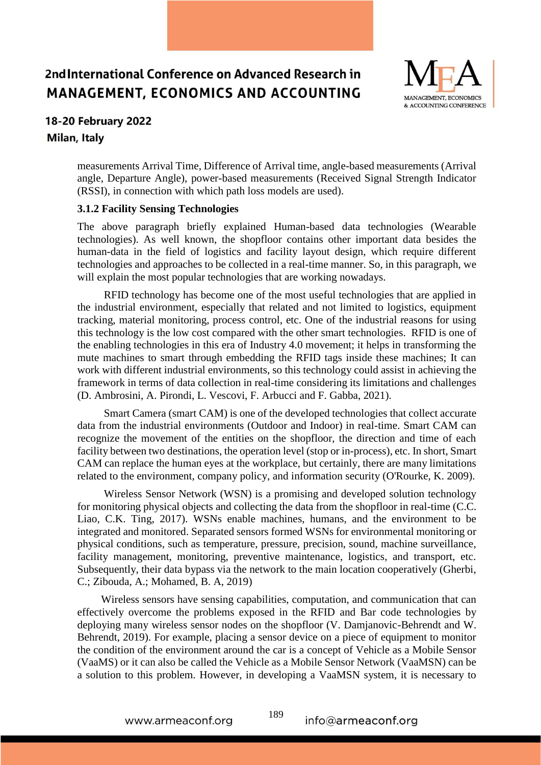

## 18-20 February 2022

#### Milan, Italy

measurements Arrival Time, Difference of Arrival time, angle-based measurements (Arrival angle, Departure Angle), power-based measurements (Received Signal Strength Indicator (RSSI), in connection with which path loss models are used).

#### **3.1.2 Facility Sensing Technologies**

The above paragraph briefly explained Human-based data technologies (Wearable technologies). As well known, the shopfloor contains other important data besides the human-data in the field of logistics and facility layout design, which require different technologies and approaches to be collected in a real-time manner. So, in this paragraph, we will explain the most popular technologies that are working nowadays.

 RFID technology has become one of the most useful technologies that are applied in the industrial environment, especially that related and not limited to logistics, equipment tracking, material monitoring, process control, etc. One of the industrial reasons for using this technology is the low cost compared with the other smart technologies. RFID is one of the enabling technologies in this era of Industry 4.0 movement; it helps in transforming the mute machines to smart through embedding the RFID tags inside these machines; It can work with different industrial environments, so this technology could assist in achieving the framework in terms of data collection in real-time considering its limitations and challenges (D. Ambrosini, A. Pirondi, L. Vescovi, F. Arbucci and F. Gabba, 2021).

 Smart Camera (smart CAM) is one of the developed technologies that collect accurate data from the industrial environments (Outdoor and Indoor) in real-time. Smart CAM can recognize the movement of the entities on the shopfloor, the direction and time of each facility between two destinations, the operation level (stop or in-process), etc. In short, Smart CAM can replace the human eyes at the workplace, but certainly, there are many limitations related to the environment, company policy, and information security (O'Rourke, K. 2009).

 Wireless Sensor Network (WSN) is a promising and developed solution technology for monitoring physical objects and collecting the data from the shopfloor in real-time (C.C. Liao, C.K. Ting, 2017). WSNs enable machines, humans, and the environment to be integrated and monitored. Separated sensors formed WSNs for environmental monitoring or physical conditions, such as temperature, pressure, precision, sound, machine surveillance, facility management, monitoring, preventive maintenance, logistics, and transport, etc. Subsequently, their data bypass via the network to the main location cooperatively (Gherbi, C.; Zibouda, A.; Mohamed, B. A, 2019)

 Wireless sensors have sensing capabilities, computation, and communication that can effectively overcome the problems exposed in the RFID and Bar code technologies by deploying many wireless sensor nodes on the shopfloor (V. Damjanovic-Behrendt and W. Behrendt, 2019). For example, placing a sensor device on a piece of equipment to monitor the condition of the environment around the car is a concept of Vehicle as a Mobile Sensor (VaaMS) or it can also be called the Vehicle as a Mobile Sensor Network (VaaMSN) can be a solution to this problem. However, in developing a VaaMSN system, it is necessary to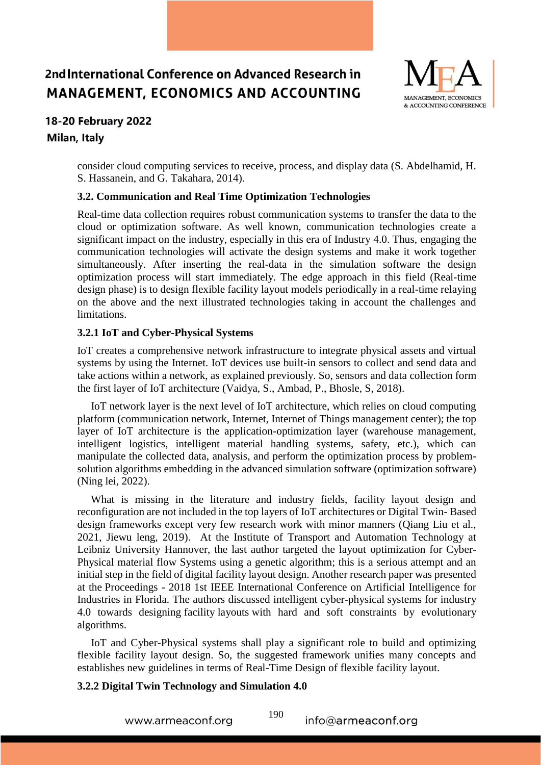

# 18-20 February 2022

#### Milan, Italy

consider cloud computing services to receive, process, and display data (S. Abdelhamid, H. S. Hassanein, and G. Takahara, 2014).

#### **3.2. Communication and Real Time Optimization Technologies**

Real-time data collection requires robust communication systems to transfer the data to the cloud or optimization software. As well known, communication technologies create a significant impact on the industry, especially in this era of Industry 4.0. Thus, engaging the communication technologies will activate the design systems and make it work together simultaneously. After inserting the real-data in the simulation software the design optimization process will start immediately. The edge approach in this field (Real-time design phase) is to design flexible facility layout models periodically in a real-time relaying on the above and the next illustrated technologies taking in account the challenges and limitations.

#### **3.2.1 IoT and Cyber-Physical Systems**

IoT creates a comprehensive network infrastructure to integrate physical assets and virtual systems by using the Internet. IoT devices use built-in sensors to collect and send data and take actions within a network, as explained previously. So, sensors and data collection form the first layer of IoT architecture (Vaidya, S., Ambad, P., Bhosle, S, 2018).

 IoT network layer is the next level of IoT architecture, which relies on cloud computing platform (communication network, Internet, Internet of Things management center); the top layer of IoT architecture is the application-optimization layer (warehouse management, intelligent logistics, intelligent material handling systems, safety, etc.), which can manipulate the collected data, analysis, and perform the optimization process by problemsolution algorithms embedding in the advanced simulation software (optimization software) (Ning lei, 2022).

 What is missing in the literature and industry fields, facility layout design and reconfiguration are not included in the top layers of IoT architectures or Digital Twin- Based design frameworks except very few research work with minor manners (Qiang Liu et al., 2021, Jiewu leng, 2019). At the Institute of Transport and Automation Technology at Leibniz University Hannover, the last author targeted the layout optimization for Cyber-Physical material flow Systems using a genetic algorithm; this is a serious attempt and an initial step in the field of digital facility layout design. Another research paper was presented at the Proceedings - 2018 1st IEEE International Conference on Artificial Intelligence for Industries in Florida. The authors discussed intelligent cyber-physical systems for industry 4.0 towards designing facility layouts with hard and soft constraints by evolutionary algorithms.

 IoT and Cyber-Physical systems shall play a significant role to build and optimizing flexible facility layout design. So, the suggested framework unifies many concepts and establishes new guidelines in terms of Real-Time Design of flexible facility layout.

#### **3.2.2 Digital Twin Technology and Simulation 4.0**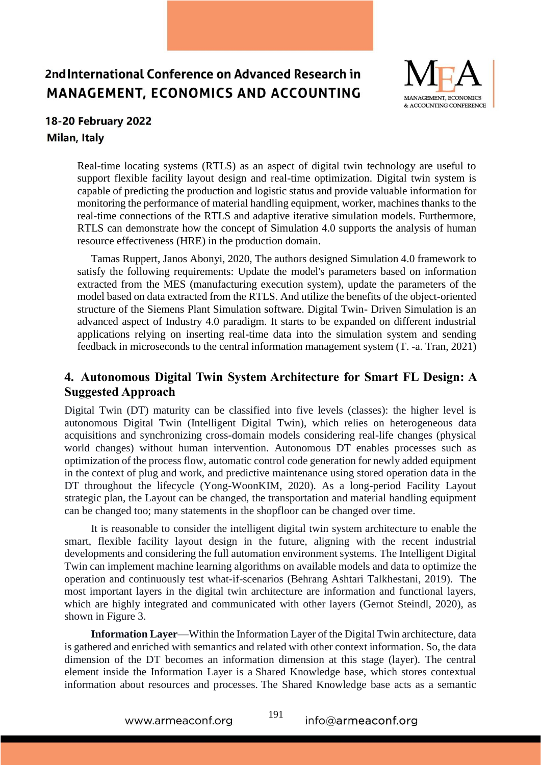

# 18-20 February 2022

Milan, Italy

Real-time locating systems (RTLS) as an aspect of digital twin technology are useful to support flexible facility layout design and real-time optimization. Digital twin system is capable of predicting the production and logistic status and provide valuable information for monitoring the performance of material handling equipment, worker, machines thanks to the real-time connections of the RTLS and adaptive iterative simulation models. Furthermore, RTLS can demonstrate how the concept of Simulation 4.0 supports the analysis of human resource effectiveness (HRE) in the production domain.

 Tamas Ruppert, Janos Abonyi, 2020, The authors designed Simulation 4.0 framework to satisfy the following requirements: Update the model's parameters based on information extracted from the MES (manufacturing execution system), update the parameters of the model based on data extracted from the RTLS. And utilize the benefits of the object-oriented structure of the Siemens Plant Simulation software. Digital Twin- Driven Simulation is an advanced aspect of Industry 4.0 paradigm. It starts to be expanded on different industrial applications relying on inserting real-time data into the simulation system and sending feedback in microseconds to the central information management system (T. -a. Tran, 2021)

## **4. Autonomous Digital Twin System Architecture for Smart FL Design: A Suggested Approach**

Digital Twin (DT) maturity can be classified into five levels (classes): the higher level is autonomous Digital Twin (Intelligent Digital Twin), which relies on heterogeneous data acquisitions and synchronizing cross-domain models considering real-life changes (physical world changes) without human intervention. Autonomous DT enables processes such as optimization of the process flow, automatic control code generation for newly added equipment in the context of plug and work, and predictive maintenance using stored operation data in the DT throughout the lifecycle (Yong-WoonKIM, 2020). As a long-period Facility Layout strategic plan, the Layout can be changed, the transportation and material handling equipment can be changed too; many statements in the shopfloor can be changed over time.

 It is reasonable to consider the intelligent digital twin system architecture to enable the smart, flexible facility layout design in the future, aligning with the recent industrial developments and considering the full automation environment systems. The Intelligent Digital Twin can implement machine learning algorithms on available models and data to optimize the operation and continuously test what-if-scenarios (Behrang Ashtari Talkhestani, 2019). The most important layers in the digital twin architecture are information and functional layers, which are highly integrated and communicated with other layers (Gernot Steindl, 2020), as shown in Figure 3.

 **Information Layer**—Within the Information Layer of the Digital Twin architecture, data is gathered and enriched with semantics and related with other context information. So, the data dimension of the DT becomes an information dimension at this stage (layer). The central element inside the Information Layer is a Shared Knowledge base, which stores contextual information about resources and processes. The Shared Knowledge base acts as a semantic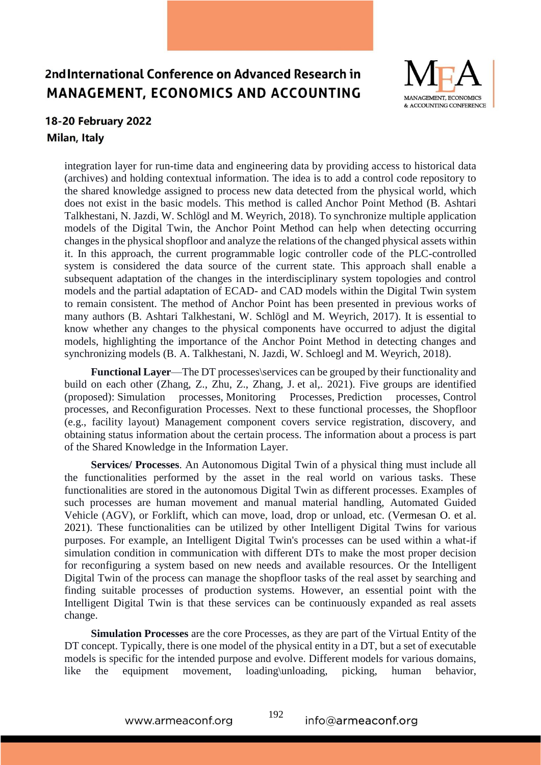

## 18-20 February 2022 Milan, Italy

integration layer for run-time data and engineering data by providing access to historical data (archives) and holding contextual information. The idea is to add a control code repository to the shared knowledge assigned to process new data detected from the physical world, which does not exist in the basic models. This method is called Anchor Point Method (B. Ashtari Talkhestani, N. Jazdi, W. Schlögl and M. Weyrich, 2018). To synchronize multiple application models of the Digital Twin, the Anchor Point Method can help when detecting occurring changes in the physical shopfloor and analyze the relations of the changed physical assets within it. In this approach, the current programmable logic controller code of the PLC-controlled system is considered the data source of the current state. This approach shall enable a subsequent adaptation of the changes in the interdisciplinary system topologies and control models and the partial adaptation of ECAD- and CAD models within the Digital Twin system to remain consistent. The method of Anchor Point has been presented in previous works of many authors (B. Ashtari Talkhestani, W. Schlögl and M. Weyrich, 2017). It is essential to know whether any changes to the physical components have occurred to adjust the digital models, highlighting the importance of the Anchor Point Method in detecting changes and synchronizing models (B. A. Talkhestani, N. Jazdi, W. Schloegl and M. Weyrich, 2018).

 **Functional Layer**—The DT processes\services can be grouped by their functionality and build on each other (Zhang, Z., Zhu, Z., Zhang, J. et al,. 2021). Five groups are identified (proposed): Simulation processes, Monitoring Processes, Prediction processes, Control processes, and Reconfiguration Processes. Next to these functional processes, the Shopfloor (e.g., facility layout) Management component covers service registration, discovery, and obtaining status information about the certain process. The information about a process is part of the Shared Knowledge in the Information Layer.

 **Services/ Processes**. An Autonomous Digital Twin of a physical thing must include all the functionalities performed by the asset in the real world on various tasks. These functionalities are stored in the autonomous Digital Twin as different processes. Examples of such processes are human movement and manual material handling, Automated Guided Vehicle (AGV), or Forklift, which can move, load, drop or unload, etc. (Vermesan O. et al. 2021). These functionalities can be utilized by other Intelligent Digital Twins for various purposes. For example, an Intelligent Digital Twin's processes can be used within a what-if simulation condition in communication with different DTs to make the most proper decision for reconfiguring a system based on new needs and available resources. Or the Intelligent Digital Twin of the process can manage the shopfloor tasks of the real asset by searching and finding suitable processes of production systems. However, an essential point with the Intelligent Digital Twin is that these services can be continuously expanded as real assets change.

 **Simulation Processes** are the core Processes, as they are part of the Virtual Entity of the DT concept. Typically, there is one model of the physical entity in a DT, but a set of executable models is specific for the intended purpose and evolve. Different models for various domains, like the equipment movement, loading\unloading, picking, human behavior,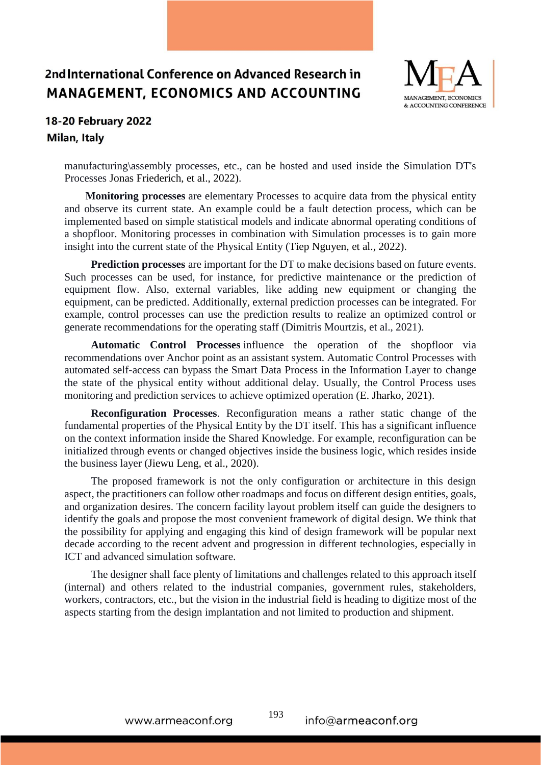

## 18-20 February 2022 Milan, Italy

manufacturing\assembly processes, etc., can be hosted and used inside the Simulation DT's Processes Jonas Friederich, et al., 2022).

 **Monitoring processes** are elementary Processes to acquire data from the physical entity and observe its current state. An example could be a fault detection process, which can be implemented based on simple statistical models and indicate abnormal operating conditions of a shopfloor. Monitoring processes in combination with Simulation processes is to gain more insight into the current state of the Physical Entity (Tiep Nguyen, et al., 2022).

 **Prediction processes** are important for the DT to make decisions based on future events. Such processes can be used, for instance, for predictive maintenance or the prediction of equipment flow. Also, external variables, like adding new equipment or changing the equipment, can be predicted. Additionally, external prediction processes can be integrated. For example, control processes can use the prediction results to realize an optimized control or generate recommendations for the operating staff (Dimitris Mourtzis, et al., 2021).

 **Automatic Control Processes** influence the operation of the shopfloor via recommendations over Anchor point as an assistant system. Automatic Control Processes with automated self-access can bypass the Smart Data Process in the Information Layer to change the state of the physical entity without additional delay. Usually, the Control Process uses monitoring and prediction services to achieve optimized operation (E. Jharko, 2021).

 **Reconfiguration Processes**. Reconfiguration means a rather static change of the fundamental properties of the Physical Entity by the DT itself. This has a significant influence on the context information inside the Shared Knowledge. For example, reconfiguration can be initialized through events or changed objectives inside the business logic, which resides inside the business layer (Jiewu Leng, et al., 2020).

 The proposed framework is not the only configuration or architecture in this design aspect, the practitioners can follow other roadmaps and focus on different design entities, goals, and organization desires. The concern facility layout problem itself can guide the designers to identify the goals and propose the most convenient framework of digital design. We think that the possibility for applying and engaging this kind of design framework will be popular next decade according to the recent advent and progression in different technologies, especially in ICT and advanced simulation software.

 The designer shall face plenty of limitations and challenges related to this approach itself (internal) and others related to the industrial companies, government rules, stakeholders, workers, contractors, etc., but the vision in the industrial field is heading to digitize most of the aspects starting from the design implantation and not limited to production and shipment.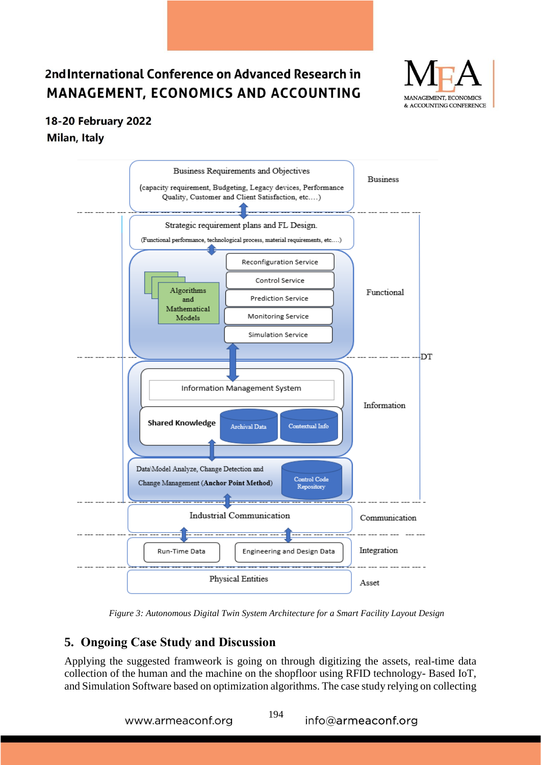

## 18-20 February 2022 Milan, Italy



*Figure 3: Autonomous Digital Twin System Architecture for a Smart Facility Layout Design*

## **5. Ongoing Case Study and Discussion**

Applying the suggested framweork is going on through digitizing the assets, real-time data collection of the human and the machine on the shopfloor using RFID technology- Based IoT, and Simulation Software based on optimization algorithms. The case study relying on collecting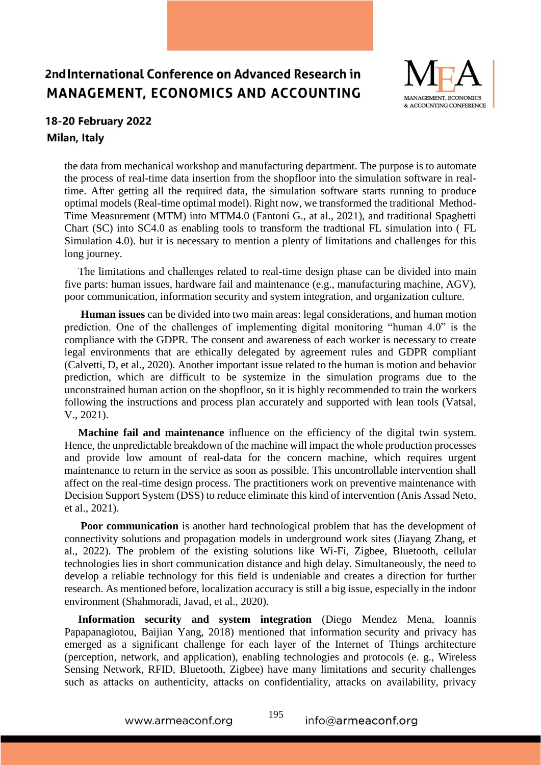

#### 18-20 February 2022 Milan, Italy

the data from mechanical workshop and manufacturing department. The purpose is to automate the process of real-time data insertion from the shopfloor into the simulation software in realtime. After getting all the required data, the simulation software starts running to produce optimal models (Real-time optimal model). Right now, we transformed the traditional Method-Time Measurement (MTM) into MTM4.0 (Fantoni G., at al., 2021), and traditional Spaghetti Chart (SC) into SC4.0 as enabling tools to transform the tradtional FL simulation into ( FL Simulation 4.0). but it is necessary to mention a plenty of limitations and challenges for this long journey.

 The limitations and challenges related to real-time design phase can be divided into main five parts: human issues, hardware fail and maintenance (e.g., manufacturing machine, AGV), poor communication, information security and system integration, and organization culture.

 **Human issues** can be divided into two main areas: legal considerations, and human motion prediction. One of the challenges of implementing digital monitoring "human 4.0" is the compliance with the GDPR. The consent and awareness of each worker is necessary to create legal environments that are ethically delegated by agreement rules and GDPR compliant (Calvetti, D, et al., 2020). Another important issue related to the human is motion and behavior prediction, which are difficult to be systemize in the simulation programs due to the unconstrained human action on the shopfloor, so it is highly recommended to train the workers following the instructions and process plan accurately and supported with lean tools (Vatsal, V., 2021).

 **Machine fail and maintenance** influence on the efficiency of the digital twin system. Hence, the unpredictable breakdown of the machine will impact the whole production processes and provide low amount of real-data for the concern machine, which requires urgent maintenance to return in the service as soon as possible. This uncontrollable intervention shall affect on the real-time design process. The practitioners work on preventive maintenance with Decision Support System (DSS) to reduce eliminate this kind of intervention (Anis Assad Neto, et al., 2021).

 **Poor communication** is another hard technological problem that has the development of connectivity solutions and propagation models in underground work sites (Jiayang Zhang, et al., 2022). The problem of the existing solutions like Wi-Fi, Zigbee, Bluetooth, cellular technologies lies in short communication distance and high delay. Simultaneously, the need to develop a reliable technology for this field is undeniable and creates a direction for further research. As mentioned before, localization accuracy is still a big issue, especially in the indoor environment (Shahmoradi, Javad, et al., 2020).

 **Information security and system integration** (Diego Mendez Mena, Ioannis Papapanagiotou, Baijian Yang, 2018) mentioned that information security and privacy has emerged as a significant challenge for each layer of the Internet of Things architecture (perception, network, and application), enabling technologies and protocols (e. g., Wireless Sensing Network, RFID, Bluetooth, Zigbee) have many limitations and security challenges such as attacks on authenticity, attacks on confidentiality, attacks on availability, privacy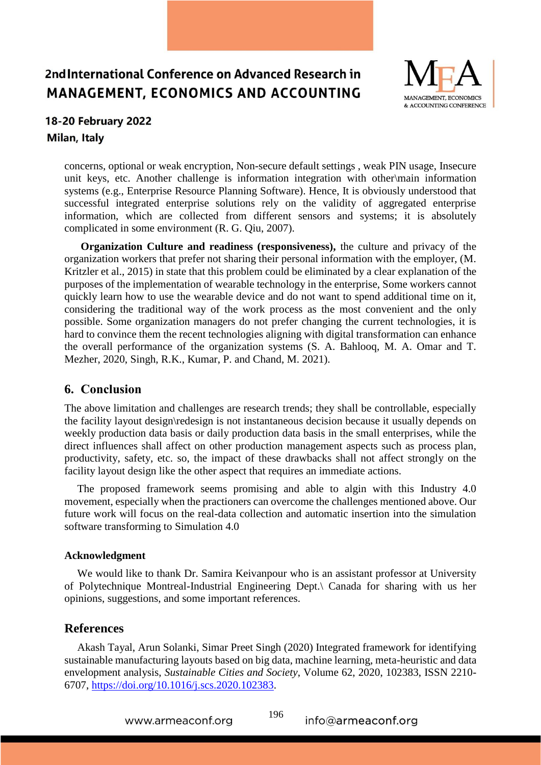

## 18-20 February 2022 Milan, Italy

concerns, optional or weak encryption, Non-secure default settings , weak PIN usage, Insecure unit keys, etc. Another challenge is information integration with other\main information systems (e.g., Enterprise Resource Planning Software). Hence, It is obviously understood that successful integrated enterprise solutions rely on the validity of aggregated enterprise information, which are collected from different sensors and systems; it is absolutely complicated in some environment (R. G. Qiu, 2007).

**Organization Culture and readiness (responsiveness),** the culture and privacy of the organization workers that prefer not sharing their personal information with the employer, (M. Kritzler et al., 2015) in state that this problem could be eliminated by a clear explanation of the purposes of the implementation of wearable technology in the enterprise, Some workers cannot quickly learn how to use the wearable device and do not want to spend additional time on it, considering the traditional way of the work process as the most convenient and the only possible. Some organization managers do not prefer changing the current technologies, it is hard to convince them the recent technologies aligning with digital transformation can enhance the overall performance of the organization systems (S. A. Bahlooq, M. A. Omar and T. Mezher, 2020, [Singh, R.K.,](https://www.emerald.com/insight/search?q=Rajesh%20Kumar%20Singh) [Kumar, P.](https://www.emerald.com/insight/search?q=Pravin%20Kumar) and [Chand, M.](https://www.emerald.com/insight/search?q=Mahesh%20Chand) 2021).

#### **6. Conclusion**

The above limitation and challenges are research trends; they shall be controllable, especially the facility layout design\redesign is not instantaneous decision because it usually depends on weekly production data basis or daily production data basis in the small enterprises, while the direct influences shall affect on other production management aspects such as process plan, productivity, safety, etc. so, the impact of these drawbacks shall not affect strongly on the facility layout design like the other aspect that requires an immediate actions.

The proposed framework seems promising and able to algin with this Industry 4.0 movement, especially when the practioners can overcome the challenges mentioned above. Our future work will focus on the real-data collection and automatic insertion into the simulation software transforming to Simulation 4.0

#### **Acknowledgment**

We would like to thank Dr. Samira Keivanpour who is an assistant professor at University of Polytechnique Montreal-Industrial Engineering Dept.\ Canada for sharing with us her opinions, suggestions, and some important references.

### **References**

Akash Tayal, Arun Solanki, Simar Preet Singh (2020) Integrated framework for identifying sustainable manufacturing layouts based on big data, machine learning, meta-heuristic and data envelopment analysis, *Sustainable Cities and Society*, Volume 62, 2020, 102383, ISSN 2210- 6707, [https://doi.org/10.1016/j.scs.2020.102383.](https://doi.org/10.1016/j.scs.2020.102383)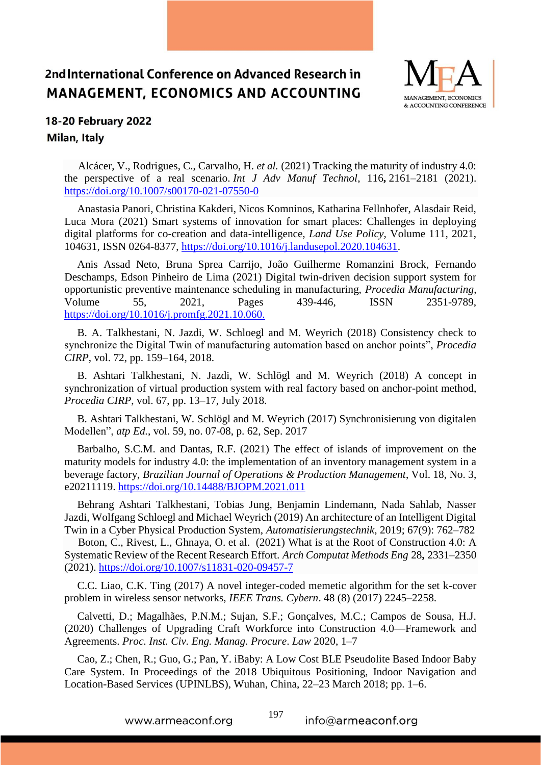

## 18-20 February 2022 Milan, Italy

 Alcácer, V., Rodrigues, C., Carvalho, H. *et al.* (2021) Tracking the maturity of industry 4.0: the perspective of a real scenario. *Int J Adv Manuf Technol*, 116**,** 2161–2181 (2021). <https://doi.org/10.1007/s00170-021-07550-0>

Anastasia Panori, Christina Kakderi, Nicos Komninos, Katharina Fellnhofer, Alasdair Reid, Luca Mora (2021) Smart systems of innovation for smart places: Challenges in deploying digital platforms for co-creation and data-intelligence, *Land Use Policy*, Volume 111, 2021, 104631, ISSN 0264-8377, [https://doi.org/10.1016/j.landusepol.2020.104631.](https://doi.org/10.1016/j.landusepol.2020.104631)

Anis Assad Neto, Bruna Sprea Carrijo, João Guilherme Romanzini Brock, Fernando Deschamps, Edson Pinheiro de Lima (2021) Digital twin-driven decision support system for opportunistic preventive maintenance scheduling in manufacturing, *Procedia Manufacturing*, Volume 55, 2021, Pages 439-446, ISSN 2351-9789, https://doi.org/10.1016/j.promfg.2021.10.060.

B. A. Talkhestani, N. Jazdi, W. Schloegl and M. Weyrich (2018) Consistency check to synchronize the Digital Twin of manufacturing automation based on anchor points", *Procedia CIRP*, vol. 72, pp. 159–164, 2018.

B. Ashtari Talkhestani, N. Jazdi, W. Schlögl and M. Weyrich (2018) A concept in synchronization of virtual production system with real factory based on anchor-point method, *Procedia CIRP*, vol. 67, pp. 13–17, July 2018.

B. Ashtari Talkhestani, W. Schlögl and M. Weyrich (2017) Synchronisierung von digitalen Modellen", *atp Ed.*, vol. 59, no. 07-08, p. 62, Sep. 2017

Barbalho, S.C.M. and Dantas, R.F. (2021) The effect of islands of improvement on the maturity models for industry 4.0: the implementation of an inventory management system in a beverage factory, *Brazilian Journal of Operations & Production Management*, Vol. 18, No. 3, e20211119. https://doi.org/10.14488/BJOPM.2021.011

Behrang Ashtari Talkhestani, Tobias Jung, Benjamin Lindemann, Nada Sahlab, Nasser Jazdi, Wolfgang Schloegl and Michael Weyrich (2019) An architecture of an Intelligent Digital Twin in a Cyber Physical Production System, *Automatisierungstechnik*, 2019; 67(9): 762–782

 Boton, C., Rivest, L., Ghnaya, O. et al. (2021) What is at the Root of Construction 4.0: A Systematic Review of the Recent Research Effort. *Arch Computat Methods Eng* 28**,** 2331–2350 (2021).<https://doi.org/10.1007/s11831-020-09457-7>

C.C. Liao, C.K. Ting (2017) A novel integer-coded memetic algorithm for the set k-cover problem in wireless sensor networks, *IEEE Trans. Cybern*. 48 (8) (2017) 2245–2258.

Calvetti, D.; Magalhães, P.N.M.; Sujan, S.F.; Gonçalves, M.C.; Campos de Sousa, H.J. (2020) Challenges of Upgrading Craft Workforce into Construction 4.0—Framework and Agreements. *Proc. Inst. Civ. Eng. Manag. Procure*. *Law* 2020, 1–7

Cao, Z.; Chen, R.; Guo, G.; Pan, Y. iBaby: A Low Cost BLE Pseudolite Based Indoor Baby Care System. In Proceedings of the 2018 Ubiquitous Positioning, Indoor Navigation and Location-Based Services (UPINLBS), Wuhan, China, 22–23 March 2018; pp. 1–6.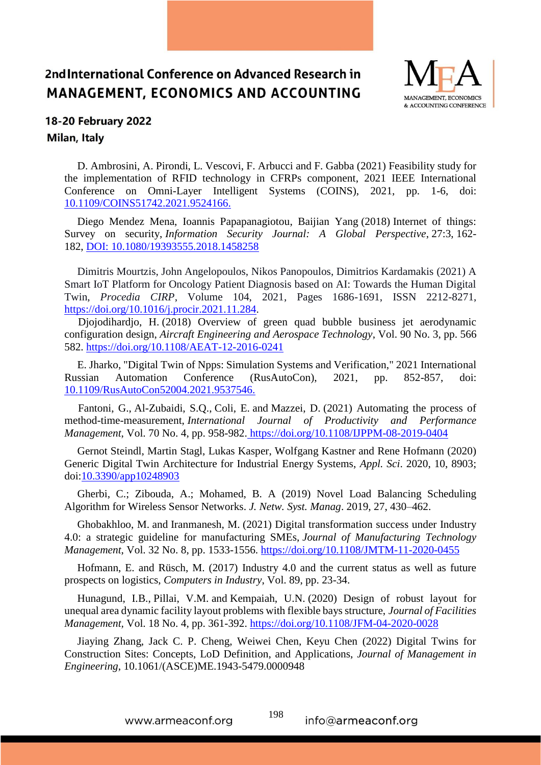

## 18-20 February 2022 Milan, Italy

D. Ambrosini, A. Pirondi, L. Vescovi, F. Arbucci and F. Gabba (2021) Feasibility study for the implementation of RFID technology in CFRPs component, 2021 IEEE International Conference on Omni-Layer Intelligent Systems (COINS), 2021, pp. 1-6, doi: 10.1109/COINS51742.2021.9524166.

Diego Mendez Mena, Ioannis Papapanagiotou, Baijian Yang (2018) Internet of things: Survey on security, *Information Security Journal: A Global Perspective*, 27:3, 162- 182, DOI: [10.1080/19393555.2018.1458258](https://doi.org/10.1080/19393555.2018.1458258)

Dimitris Mourtzis, John Angelopoulos, Nikos Panopoulos, Dimitrios Kardamakis (2021) A Smart IoT Platform for Oncology Patient Diagnosis based on AI: Towards the Human Digital Twin, *Procedia CIRP*, Volume 104, 2021, Pages 1686-1691, ISSN 2212-8271, [https://doi.org/10.1016/j.procir.2021.11.284.](https://doi.org/10.1016/j.procir.2021.11.284)

 [Djojodihardjo, H.](https://www.emerald.com/insight/search?q=Harijono%20Djojodihardjo) (2018) Overview of green quad bubble business jet aerodynamic configuration design, *[Aircraft Engineering and Aerospace Technology](https://www.emerald.com/insight/publication/issn/0002-2667)*, Vol. 90 No. 3, pp. 566 582. <https://doi.org/10.1108/AEAT-12-2016-0241>

E. Jharko, "Digital Twin of Npps: Simulation Systems and Verification," 2021 International Russian Automation Conference (RusAutoCon), 2021, pp. 852-857, doi: 10.1109/RusAutoCon52004.2021.9537546.

 [Fantoni, G.,](https://www.emerald.com/insight/search?q=Gualtiero%20Fantoni) [Al-Zubaidi, S.Q.,](https://www.emerald.com/insight/search?q=Salam%20Qaddoori%20Al-Zubaidi) [Coli, E.](https://www.emerald.com/insight/search?q=Elena%20Coli) and [Mazzei, D.](https://www.emerald.com/insight/search?q=Daniele%20Mazzei) (2021) Automating the process of method-time-measurement, *[International Journal of Productivity and](https://www.emerald.com/insight/publication/issn/1741-0401) Performance [Management](https://www.emerald.com/insight/publication/issn/1741-0401)*, Vol. 70 No. 4, pp. 958-982. <https://doi.org/10.1108/IJPPM-08-2019-0404>

Gernot Steindl, Martin Stagl, Lukas Kasper, Wolfgang Kastner and Rene Hofmann (2020) Generic Digital Twin Architecture for Industrial Energy Systems, *Appl. Sci*. 2020, 10, 8903; doi:10.3390/app10248903

Gherbi, C.; Zibouda, A.; Mohamed, B. A (2019) Novel Load Balancing Scheduling Algorithm for Wireless Sensor Networks. *J. Netw. Syst. Manag*. 2019, 27, 430–462.

[Ghobakhloo, M.](https://www.emerald.com/insight/search?q=Morteza%20Ghobakhloo) and [Iranmanesh, M.](https://www.emerald.com/insight/search?q=Mohammad%20Iranmanesh) (2021) Digital transformation success under Industry 4.0: a strategic guideline for manufacturing SMEs, *[Journal of Manufacturing Technology](https://www.emerald.com/insight/publication/issn/1741-038X)  [Management](https://www.emerald.com/insight/publication/issn/1741-038X)*, Vol. 32 No. 8, pp. 1533-1556. <https://doi.org/10.1108/JMTM-11-2020-0455>

Hofmann, E. and Rüsch, M. (2017) Industry 4.0 and the current status as well as future prospects on logistics, *Computers in Industry*, Vol. 89, pp. 23-34.

[Hunagund, I.B.,](https://www.emerald.com/insight/search?q=Irappa%20Basappa%20Hunagund) [Pillai, V.M.](https://www.emerald.com/insight/search?q=V.%20Madhusudanan%20Pillai) and [Kempaiah, U.N.](https://www.emerald.com/insight/search?q=Ujjani%20Nagegowda%20Kempaiah) (2020) Design of robust layout for unequal area dynamic facility layout problems with flexible bays structure, *[Journal of Facilities](https://www.emerald.com/insight/publication/issn/1472-5967)  [Management,](https://www.emerald.com/insight/publication/issn/1472-5967)* Vol. 18 No. 4, pp. 361-392. <https://doi.org/10.1108/JFM-04-2020-0028>

Jiaying Zhang, Jack C. P. Cheng, Weiwei Chen, Keyu Chen (2022) Digital Twins for Construction Sites: Concepts, LoD Definition, and Applications, *Journal of Management in Engineering*, 10.1061/(ASCE)ME.1943-5479.0000948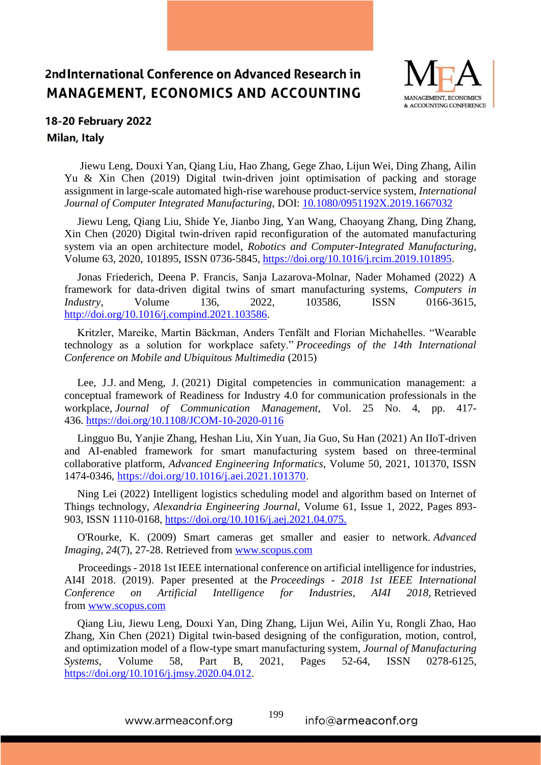

## 18-20 February 2022 Milan, Italy

Jiewu Leng, Douxi Yan, Qiang Liu, Hao Zhang, Gege Zhao, Lijun Wei, Ding Zhang, Ailin Yu & Xin Chen (2019) Digital twin-driven joint optimisation of packing and storage assignment in large-scale automated high-rise warehouse product-service system, *International Journal of Computer Integrated Manufacturing*, DOI: 10.1080/0951192X.2019.1667032

Jiewu Leng, Qiang Liu, Shide Ye, Jianbo Jing, Yan Wang, Chaoyang Zhang, Ding Zhang, Xin Chen (2020) Digital twin-driven rapid reconfiguration of the automated manufacturing system via an open architecture model, *Robotics and Computer-Integrated Manufacturing,* Volume 63, 2020, 101895, ISSN 0736-5845, [https://doi.org/10.1016/j.rcim.2019.101895.](https://doi.org/10.1016/j.rcim.2019.101895)

Jonas Friederich, Deena P. Francis, Sanja Lazarova-Molnar, Nader Mohamed (2022) A framework for data-driven digital twins of smart manufacturing systems, *Computers in Industry*, Volume 136, 2022, 103586, ISSN 0166-3615, [http://doi.org/10.1016/j.compind.2021.103586.](http://doi.org/10.1016/j.compind.2021.103586)

Kritzler, Mareike, Martin Bäckman, Anders Tenfält and Florian Michahelles. "Wearable technology as a solution for workplace safety." *Proceedings of the 14th International Conference on Mobile and Ubiquitous Multimedia* (2015)

[Lee, J.J.](https://www.emerald.com/insight/search?q=Jeonghyun%20Janice%20Lee) and [Meng, J.](https://www.emerald.com/insight/search?q=Juan%20Meng) (2021) Digital competencies in communication management: a conceptual framework of Readiness for Industry 4.0 for communication professionals in the workplace, *[Journal of Communication Management](https://www.emerald.com/insight/publication/issn/1363-254X)*, Vol. 25 No. 4, pp. 417- 436. <https://doi.org/10.1108/JCOM-10-2020-0116>

Lingguo Bu, Yanjie Zhang, Heshan Liu, Xin Yuan, Jia Guo, Su Han (2021) An IIoT-driven and AI-enabled framework for smart manufacturing system based on three-terminal collaborative platform, *Advanced Engineering Informatics*, Volume 50, 2021, 101370, ISSN 1474-0346, [https://doi.org/10.1016/j.aei.2021.101370.](https://doi.org/10.1016/j.aei.2021.101370)

Ning Lei (2022) Intelligent logistics scheduling model and algorithm based on Internet of Things technology, *Alexandria Engineering Journal*, Volume 61, Issue 1, 2022, Pages 893- 903, ISSN 1110-0168, https://doi.org/10.1016/j.aej.2021.04.075.

O'Rourke, K. (2009) Smart cameras get smaller and easier to network. *Advanced Imaging, 24*(7), 27-28. Retrieved from [www.scopus.com](http://www.scopus.com/)

 Proceedings - 2018 1st IEEE international conference on artificial intelligence for industries, AI4I 2018. (2019). Paper presented at the *Proceedings - 2018 1st IEEE International Conference on Artificial Intelligence for Industries, AI4I 2018,* Retrieved from [www.scopus.com](http://www.scopus.com/)

Qiang Liu, Jiewu Leng, Douxi Yan, Ding Zhang, Lijun Wei, Ailin Yu, Rongli Zhao, Hao Zhang, Xin Chen (2021) Digital twin-based designing of the configuration, motion, control, and optimization model of a flow-type smart manufacturing system, *Journal of Manufacturing Systems*, Volume 58, Part B, 2021, Pages 52-64, ISSN 0278-6125, [https://doi.org/10.1016/j.jmsy.2020.04.012.](https://doi.org/10.1016/j.jmsy.2020.04.012)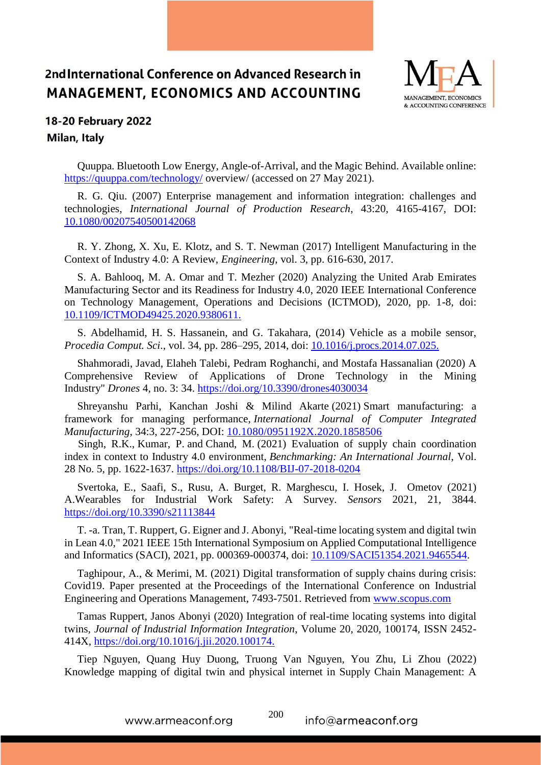

## 18-20 February 2022 Milan, Italy

Quuppa. Bluetooth Low Energy, Angle-of-Arrival, and the Magic Behind. Available online: <https://quuppa.com/technology/> overview/ (accessed on 27 May 2021).

R. G. Qiu. (2007) Enterprise management and information integration: challenges and technologies, *International Journal of Production Research*, 43:20, 4165-4167, DOI: 10.1080/00207540500142068

R. Y. Zhong, X. Xu, E. Klotz, and S. T. Newman (2017) Intelligent Manufacturing in the Context of Industry 4.0: A Review, *Engineering*, vol. 3, pp. 616-630, 2017.

S. A. Bahlooq, M. A. Omar and T. Mezher (2020) Analyzing the United Arab Emirates Manufacturing Sector and its Readiness for Industry 4.0, 2020 IEEE International Conference on Technology Management, Operations and Decisions (ICTMOD), 2020, pp. 1-8, doi: 10.1109/ICTMOD49425.2020.9380611.

S. Abdelhamid, H. S. Hassanein, and G. Takahara, (2014) Vehicle as a mobile sensor, *Procedia Comput. Sci*., vol. 34, pp. 286–295, 2014, doi: 10.1016/j.procs.2014.07.025.

Shahmoradi, Javad, Elaheh Talebi, Pedram Roghanchi, and Mostafa Hassanalian (2020) A Comprehensive Review of Applications of Drone Technology in the Mining Industry" *Drones* 4, no. 3: 34.<https://doi.org/10.3390/drones4030034>

Shreyanshu Parhi, Kanchan Joshi & Milind Akarte (2021) Smart manufacturing: a framework for managing performance, *International Journal of Computer Integrated Manufacturing*, 34:3, 227-256, DOI: [10.1080/0951192X.2020.1858506](https://doi.org/10.1080/0951192X.2020.1858506)

 [Singh, R.K.,](https://www.emerald.com/insight/search?q=Rajesh%20Kumar%20Singh) [Kumar, P.](https://www.emerald.com/insight/search?q=Pravin%20Kumar) and [Chand, M.](https://www.emerald.com/insight/search?q=Mahesh%20Chand) (2021) Evaluation of supply chain coordination index in context to Industry 4.0 environment, *[Benchmarking: An International Journal](https://www.emerald.com/insight/publication/issn/1463-5771)*, Vol. 28 No. 5, pp. 1622-1637. <https://doi.org/10.1108/BIJ-07-2018-0204>

Svertoka, E., Saafi, S., Rusu, A. Burget, R. Marghescu, I. Hosek, J. Ometov (2021) A.Wearables for Industrial Work Safety: A Survey. *Sensors* 2021, 21, 3844. <https://doi.org/10.3390/s21113844>

T. -a. Tran, T. Ruppert, G. Eigner and J. Abonyi, "Real-time locating system and digital twin in Lean 4.0," 2021 IEEE 15th International Symposium on Applied Computational Intelligence and Informatics (SACI), 2021, pp. 000369-000374, doi: 10.1109/SACI51354.2021.9465544.

Taghipour, A., & Merimi, M. (2021) Digital transformation of supply chains during crisis: Covid19. Paper presented at the Proceedings of the International Conference on Industrial Engineering and Operations Management, 7493-7501. Retrieved from [www.scopus.com](http://www.scopus.com/)

Tamas Ruppert, Janos Abonyi (2020) Integration of real-time locating systems into digital twins, *Journal of Industrial Information Integration*, Volume 20, 2020, 100174, ISSN 2452- 414X, https://doi.org/10.1016/j.jii.2020.100174.

Tiep Nguyen, Quang Huy Duong, Truong Van Nguyen, You Zhu, Li Zhou (2022) Knowledge mapping of digital twin and physical internet in Supply Chain Management: A